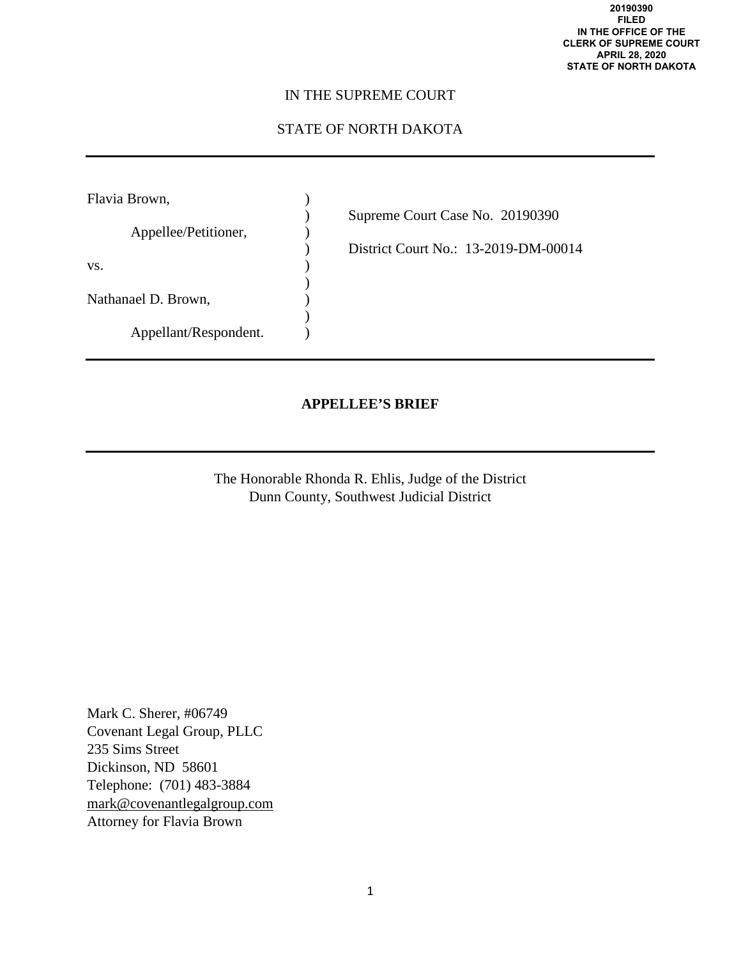## IN THE SUPREME COURT

# STATE OF NORTH DAKOTA

| Flavia Brown,         |                                      |
|-----------------------|--------------------------------------|
|                       | Supreme Court Case No. 20190390      |
| Appellee/Petitioner,  |                                      |
|                       | District Court No.: 13-2019-DM-00014 |
| VS.                   |                                      |
|                       |                                      |
| Nathanael D. Brown,   |                                      |
|                       |                                      |
| Appellant/Respondent. |                                      |

## **APPELLEE'S BRIEF**

The Honorable Rhonda R. Ehlis, Judge of the District Dunn County, Southwest Judicial District

Mark C. Sherer, #06749 Covenant Legal Group, PLLC 235 Sims Street Dickinson, ND 58601 Telephone: (701) 483-3884 [mark@covenantlegalgroup.com](mailto:mark@covenantlegalgroup.com) Attorney for Flavia Brown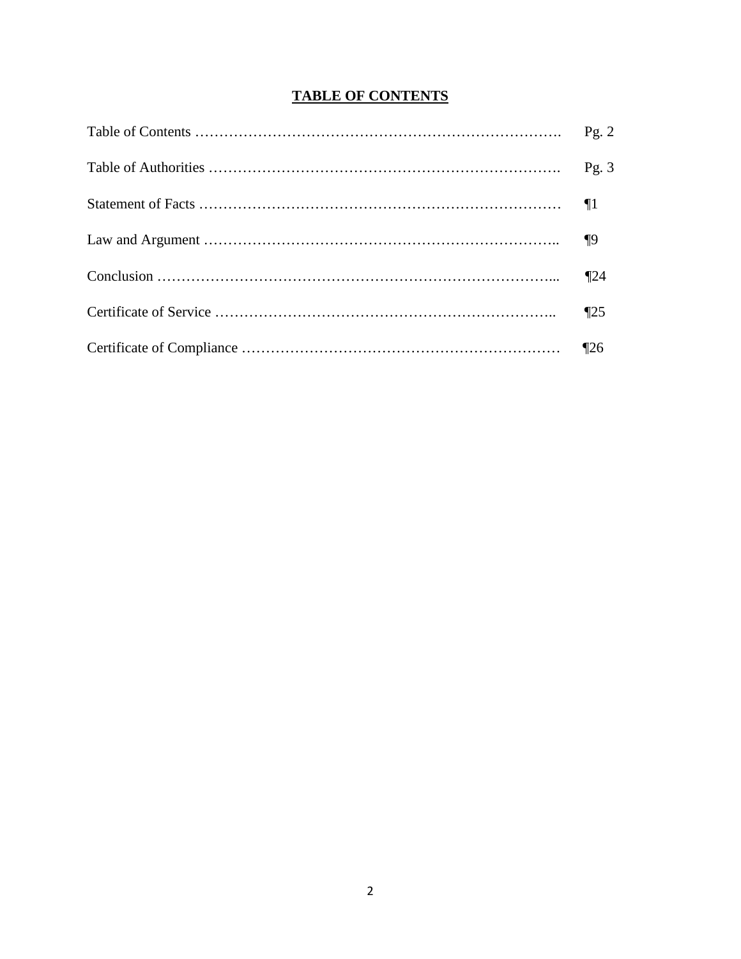# **TABLE OF CONTENTS**

| $\P$ 25 |
|---------|
|         |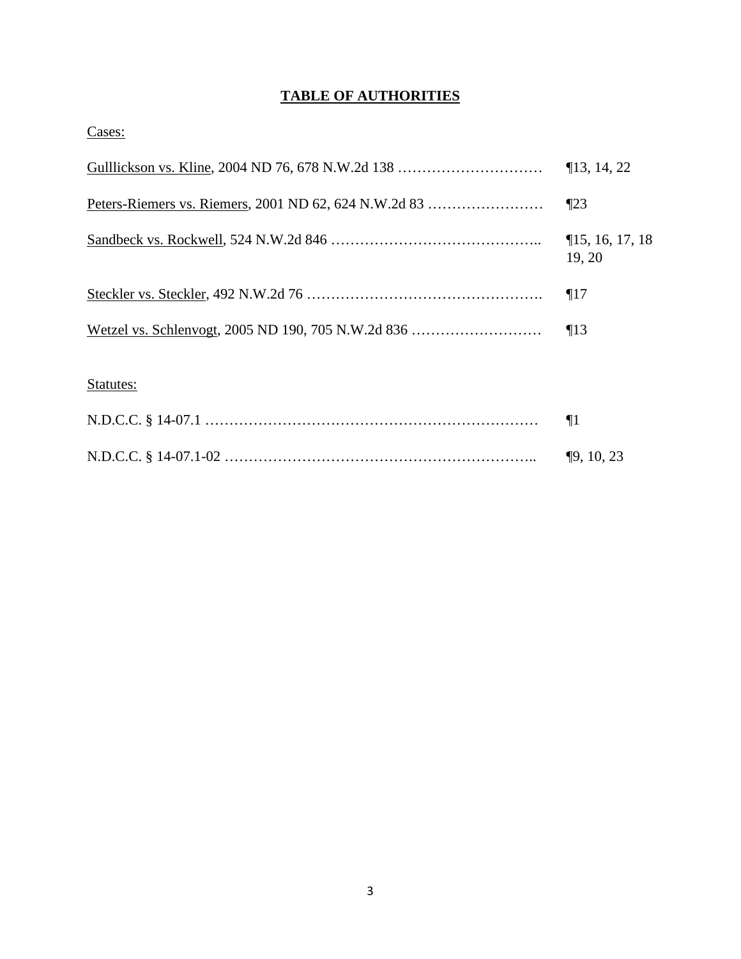# **TABLE OF AUTHORITIES**

Cases:

| Gulllickson vs. Kline, 2004 ND 76, 678 N.W.2d 138 | $\P$ 13, 14, 22               |
|---------------------------------------------------|-------------------------------|
|                                                   | $\P$ 23                       |
|                                                   | $\P$ 15, 16, 17, 18<br>19, 20 |
|                                                   | $\P17$                        |
|                                                   | $\P13$                        |
| Statutes:                                         |                               |
|                                                   | $\P1$                         |
|                                                   | $\P9, 10, 23$                 |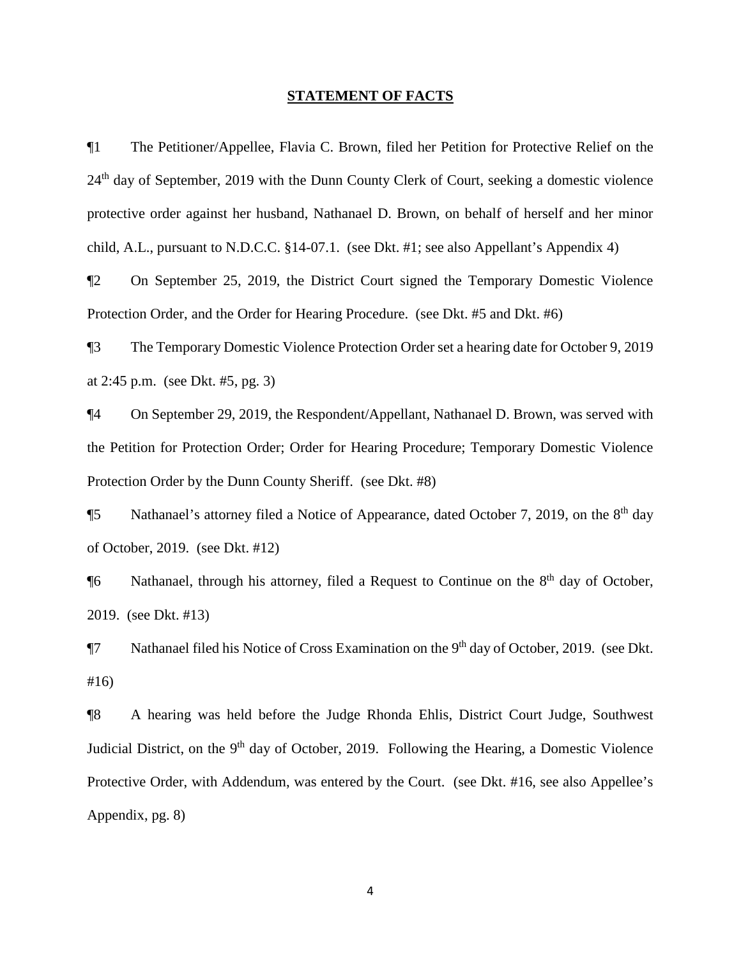#### **STATEMENT OF FACTS**

¶1 The Petitioner/Appellee, Flavia C. Brown, filed her Petition for Protective Relief on the 24<sup>th</sup> day of September, 2019 with the Dunn County Clerk of Court, seeking a domestic violence protective order against her husband, Nathanael D. Brown, on behalf of herself and her minor child, A.L., pursuant to N.D.C.C. §14-07.1. (see Dkt. #1; see also Appellant's Appendix 4)

¶2 On September 25, 2019, the District Court signed the Temporary Domestic Violence Protection Order, and the Order for Hearing Procedure. (see Dkt. #5 and Dkt. #6)

¶3 The Temporary Domestic Violence Protection Order set a hearing date for October 9, 2019 at 2:45 p.m. (see Dkt. #5, pg. 3)

¶4 On September 29, 2019, the Respondent/Appellant, Nathanael D. Brown, was served with the Petition for Protection Order; Order for Hearing Procedure; Temporary Domestic Violence Protection Order by the Dunn County Sheriff. (see Dkt. #8)

¶5 Nathanael's attorney filed a Notice of Appearance, dated October 7, 2019, on the 8th day of October, 2019. (see Dkt. #12)

¶6 Nathanael, through his attorney, filed a Request to Continue on the 8th day of October, 2019. (see Dkt. #13)

**T**7 Nathanael filed his Notice of Cross Examination on the 9<sup>th</sup> day of October, 2019. (see Dkt. #16)

¶8 A hearing was held before the Judge Rhonda Ehlis, District Court Judge, Southwest Judicial District, on the 9<sup>th</sup> day of October, 2019. Following the Hearing, a Domestic Violence Protective Order, with Addendum, was entered by the Court. (see Dkt. #16, see also Appellee's Appendix, pg. 8)

4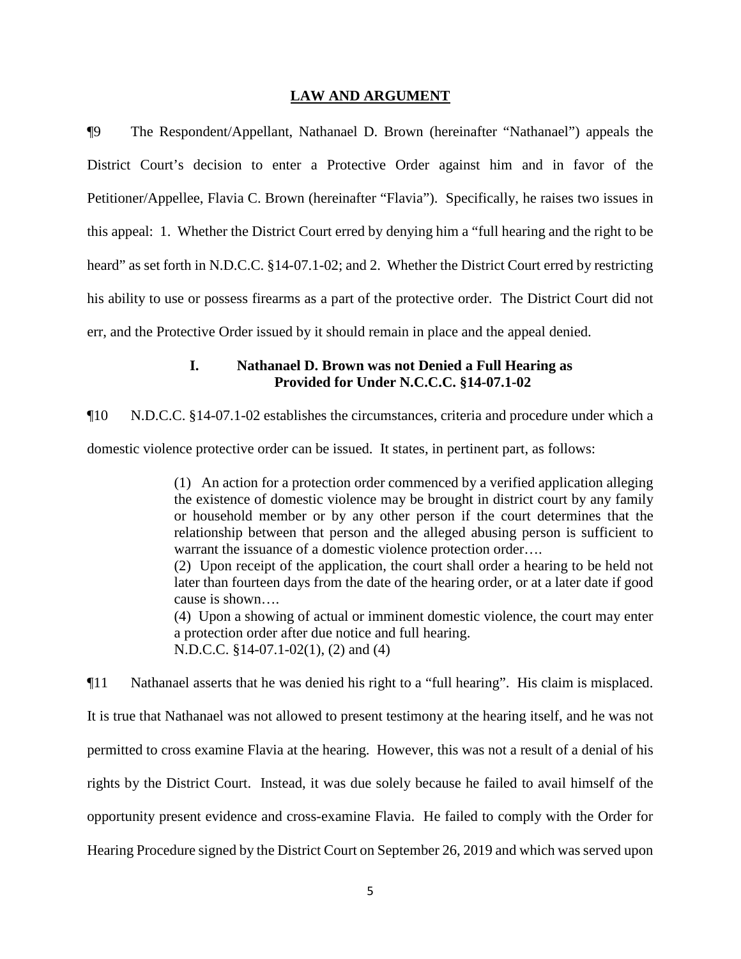#### **LAW AND ARGUMENT**

¶9 The Respondent/Appellant, Nathanael D. Brown (hereinafter "Nathanael") appeals the District Court's decision to enter a Protective Order against him and in favor of the Petitioner/Appellee, Flavia C. Brown (hereinafter "Flavia"). Specifically, he raises two issues in this appeal: 1. Whether the District Court erred by denying him a "full hearing and the right to be heard" as set forth in N.D.C.C. §14-07.1-02; and 2. Whether the District Court erred by restricting his ability to use or possess firearms as a part of the protective order. The District Court did not err, and the Protective Order issued by it should remain in place and the appeal denied.

### **I. Nathanael D. Brown was not Denied a Full Hearing as Provided for Under N.C.C.C. §14-07.1-02**

¶10 N.D.C.C. §14-07.1-02 establishes the circumstances, criteria and procedure under which a

domestic violence protective order can be issued. It states, in pertinent part, as follows:

(1) An action for a protection order commenced by a verified application alleging the existence of domestic violence may be brought in district court by any family or household member or by any other person if the court determines that the relationship between that person and the alleged abusing person is sufficient to warrant the issuance of a domestic violence protection order....

(2) Upon receipt of the application, the court shall order a hearing to be held not later than fourteen days from the date of the hearing order, or at a later date if good cause is shown….

(4) Upon a showing of actual or imminent domestic violence, the court may enter a protection order after due notice and full hearing. N.D.C.C. §14-07.1-02(1), (2) and (4)

¶11 Nathanael asserts that he was denied his right to a "full hearing". His claim is misplaced. It is true that Nathanael was not allowed to present testimony at the hearing itself, and he was not permitted to cross examine Flavia at the hearing. However, this was not a result of a denial of his rights by the District Court. Instead, it was due solely because he failed to avail himself of the opportunity present evidence and cross-examine Flavia. He failed to comply with the Order for Hearing Procedure signed by the District Court on September 26, 2019 and which was served upon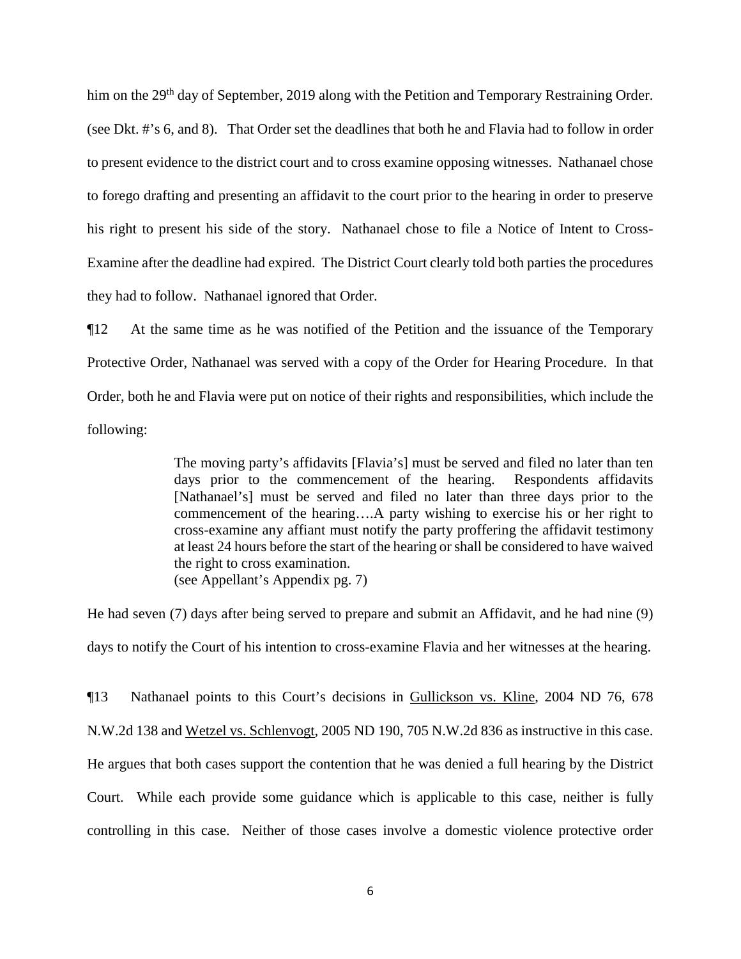him on the 29<sup>th</sup> day of September, 2019 along with the Petition and Temporary Restraining Order. (see Dkt. #'s 6, and 8). That Order set the deadlines that both he and Flavia had to follow in order to present evidence to the district court and to cross examine opposing witnesses. Nathanael chose to forego drafting and presenting an affidavit to the court prior to the hearing in order to preserve his right to present his side of the story. Nathanael chose to file a Notice of Intent to Cross-Examine after the deadline had expired. The District Court clearly told both parties the procedures they had to follow. Nathanael ignored that Order.

¶12 At the same time as he was notified of the Petition and the issuance of the Temporary Protective Order, Nathanael was served with a copy of the Order for Hearing Procedure. In that Order, both he and Flavia were put on notice of their rights and responsibilities, which include the following:

> The moving party's affidavits [Flavia's] must be served and filed no later than ten days prior to the commencement of the hearing. Respondents affidavits [Nathanael's] must be served and filed no later than three days prior to the commencement of the hearing….A party wishing to exercise his or her right to cross-examine any affiant must notify the party proffering the affidavit testimony at least 24 hours before the start of the hearing or shall be considered to have waived the right to cross examination. (see Appellant's Appendix pg. 7)

He had seven (7) days after being served to prepare and submit an Affidavit, and he had nine (9) days to notify the Court of his intention to cross-examine Flavia and her witnesses at the hearing.

¶13 Nathanael points to this Court's decisions in Gullickson vs. Kline, 2004 ND 76, 678 N.W.2d 138 and Wetzel vs. Schlenvogt, 2005 ND 190, 705 N.W.2d 836 as instructive in this case. He argues that both cases support the contention that he was denied a full hearing by the District Court. While each provide some guidance which is applicable to this case, neither is fully controlling in this case. Neither of those cases involve a domestic violence protective order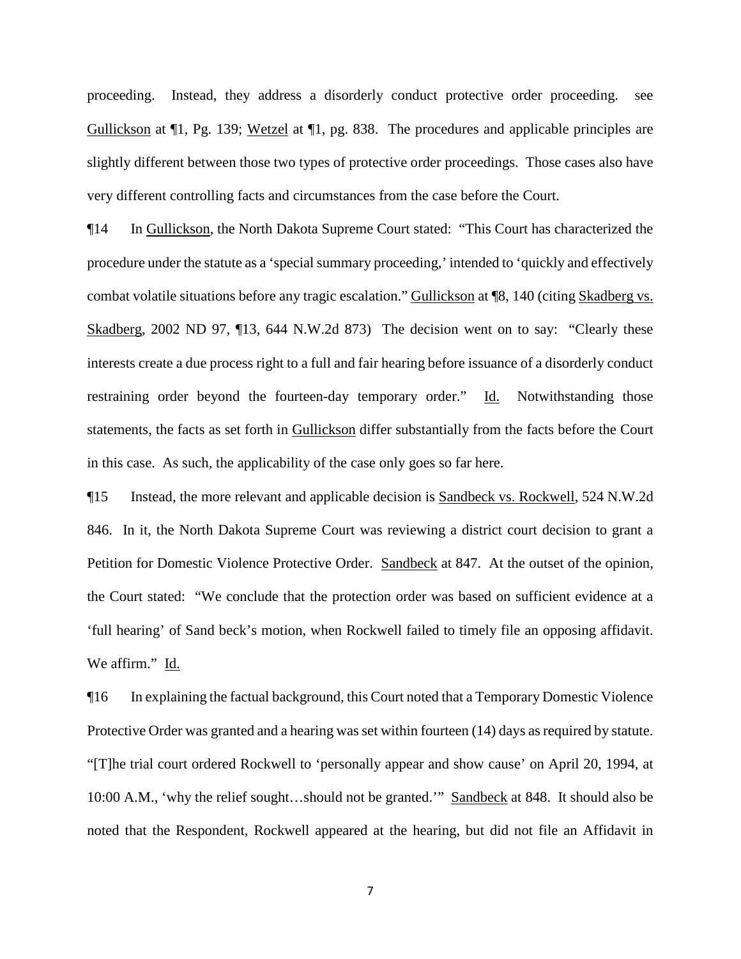proceeding. Instead, they address a disorderly conduct protective order proceeding. see Gullickson at ¶1, Pg. 139; Wetzel at ¶1, pg. 838. The procedures and applicable principles are slightly different between those two types of protective order proceedings. Those cases also have very different controlling facts and circumstances from the case before the Court.

¶14 In Gullickson, the North Dakota Supreme Court stated: "This Court has characterized the procedure under the statute as a 'special summary proceeding,' intended to 'quickly and effectively combat volatile situations before any tragic escalation." Gullickson at ¶8, 140 (citing Skadberg vs. Skadberg, 2002 ND 97, ¶13, 644 N.W.2d 873) The decision went on to say: "Clearly these interests create a due process right to a full and fair hearing before issuance of a disorderly conduct restraining order beyond the fourteen-day temporary order." Id. Notwithstanding those statements, the facts as set forth in Gullickson differ substantially from the facts before the Court in this case. As such, the applicability of the case only goes so far here.

¶15 Instead, the more relevant and applicable decision is Sandbeck vs. Rockwell, 524 N.W.2d 846. In it, the North Dakota Supreme Court was reviewing a district court decision to grant a Petition for Domestic Violence Protective Order. Sandbeck at 847. At the outset of the opinion, the Court stated: "We conclude that the protection order was based on sufficient evidence at a 'full hearing' of Sand beck's motion, when Rockwell failed to timely file an opposing affidavit. We affirm." Id.

¶16 In explaining the factual background, this Court noted that a Temporary Domestic Violence Protective Order was granted and a hearing was set within fourteen (14) days as required by statute. "[T]he trial court ordered Rockwell to 'personally appear and show cause' on April 20, 1994, at 10:00 A.M., 'why the relief sought…should not be granted.'" Sandbeck at 848. It should also be noted that the Respondent, Rockwell appeared at the hearing, but did not file an Affidavit in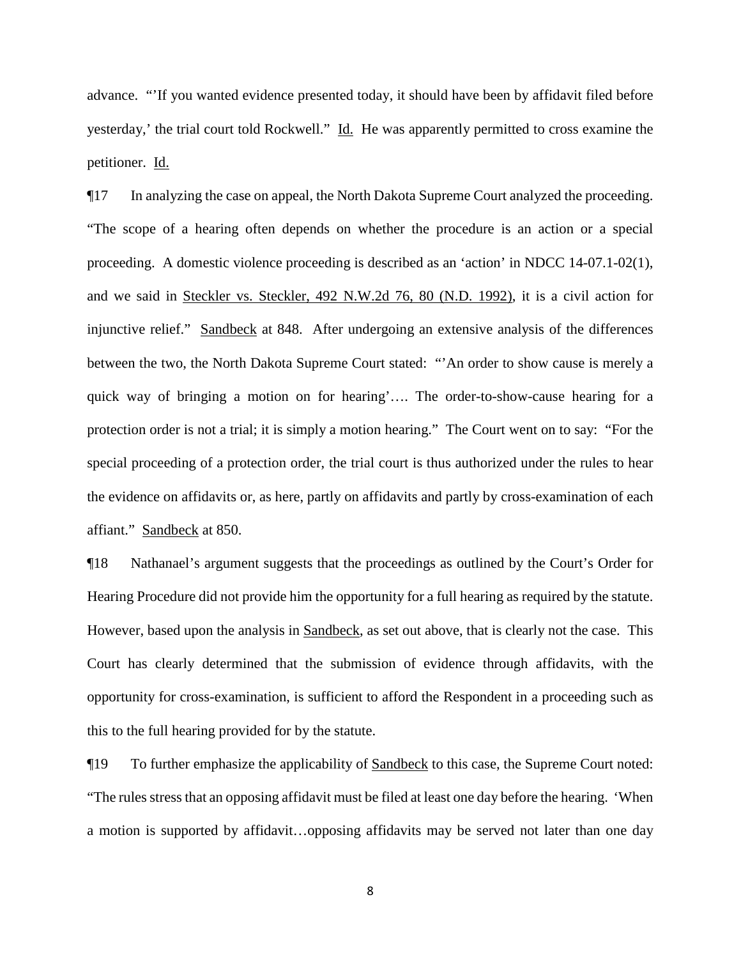advance. "'If you wanted evidence presented today, it should have been by affidavit filed before yesterday,' the trial court told Rockwell." Id. He was apparently permitted to cross examine the petitioner. Id.

¶17 In analyzing the case on appeal, the North Dakota Supreme Court analyzed the proceeding. "The scope of a hearing often depends on whether the procedure is an action or a special proceeding. A domestic violence proceeding is described as an 'action' in NDCC 14-07.1-02(1), and we said in Steckler vs. Steckler, 492 N.W.2d 76, 80 (N.D. 1992), it is a civil action for injunctive relief." Sandbeck at 848. After undergoing an extensive analysis of the differences between the two, the North Dakota Supreme Court stated: "'An order to show cause is merely a quick way of bringing a motion on for hearing'…. The order-to-show-cause hearing for a protection order is not a trial; it is simply a motion hearing." The Court went on to say: "For the special proceeding of a protection order, the trial court is thus authorized under the rules to hear the evidence on affidavits or, as here, partly on affidavits and partly by cross-examination of each affiant." Sandbeck at 850.

¶18 Nathanael's argument suggests that the proceedings as outlined by the Court's Order for Hearing Procedure did not provide him the opportunity for a full hearing as required by the statute. However, based upon the analysis in Sandbeck, as set out above, that is clearly not the case. This Court has clearly determined that the submission of evidence through affidavits, with the opportunity for cross-examination, is sufficient to afford the Respondent in a proceeding such as this to the full hearing provided for by the statute.

¶19 To further emphasize the applicability of Sandbeck to this case, the Supreme Court noted: "The rules stress that an opposing affidavit must be filed at least one day before the hearing. 'When a motion is supported by affidavit…opposing affidavits may be served not later than one day

8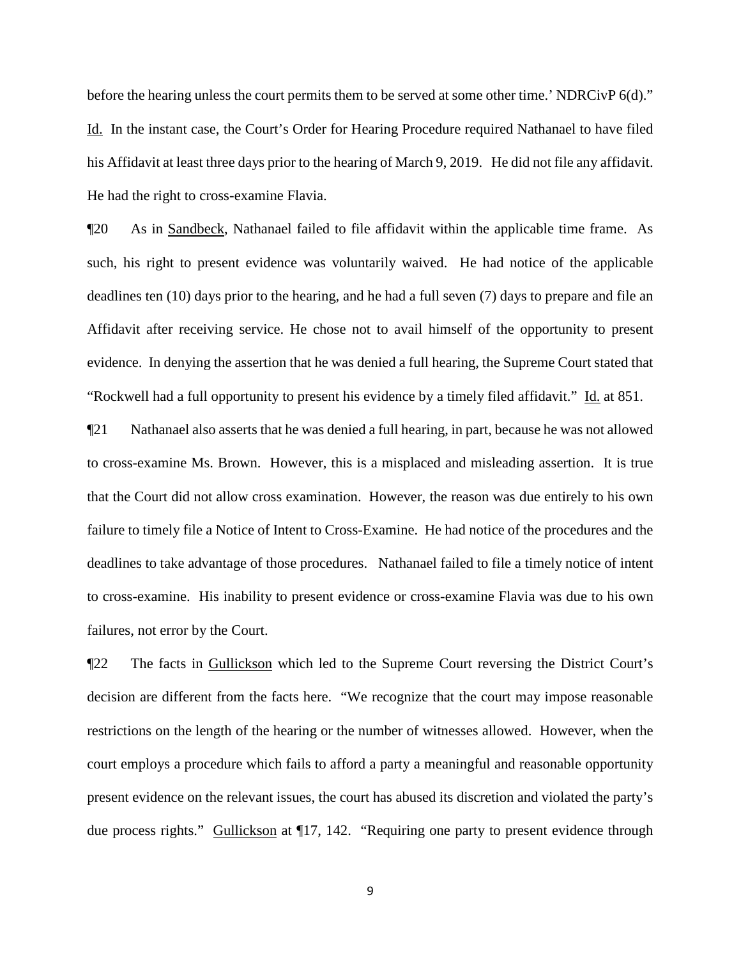before the hearing unless the court permits them to be served at some other time.' NDRCivP 6(d)." Id. In the instant case, the Court's Order for Hearing Procedure required Nathanael to have filed his Affidavit at least three days prior to the hearing of March 9, 2019. He did not file any affidavit. He had the right to cross-examine Flavia.

¶20 As in Sandbeck, Nathanael failed to file affidavit within the applicable time frame. As such, his right to present evidence was voluntarily waived. He had notice of the applicable deadlines ten (10) days prior to the hearing, and he had a full seven (7) days to prepare and file an Affidavit after receiving service. He chose not to avail himself of the opportunity to present evidence. In denying the assertion that he was denied a full hearing, the Supreme Court stated that "Rockwell had a full opportunity to present his evidence by a timely filed affidavit." Id. at 851.

¶21 Nathanael also asserts that he was denied a full hearing, in part, because he was not allowed to cross-examine Ms. Brown. However, this is a misplaced and misleading assertion. It is true that the Court did not allow cross examination. However, the reason was due entirely to his own failure to timely file a Notice of Intent to Cross-Examine. He had notice of the procedures and the deadlines to take advantage of those procedures. Nathanael failed to file a timely notice of intent to cross-examine. His inability to present evidence or cross-examine Flavia was due to his own failures, not error by the Court.

¶22 The facts in Gullickson which led to the Supreme Court reversing the District Court's decision are different from the facts here. "We recognize that the court may impose reasonable restrictions on the length of the hearing or the number of witnesses allowed. However, when the court employs a procedure which fails to afford a party a meaningful and reasonable opportunity present evidence on the relevant issues, the court has abused its discretion and violated the party's due process rights." Gullickson at [17, 142. "Requiring one party to present evidence through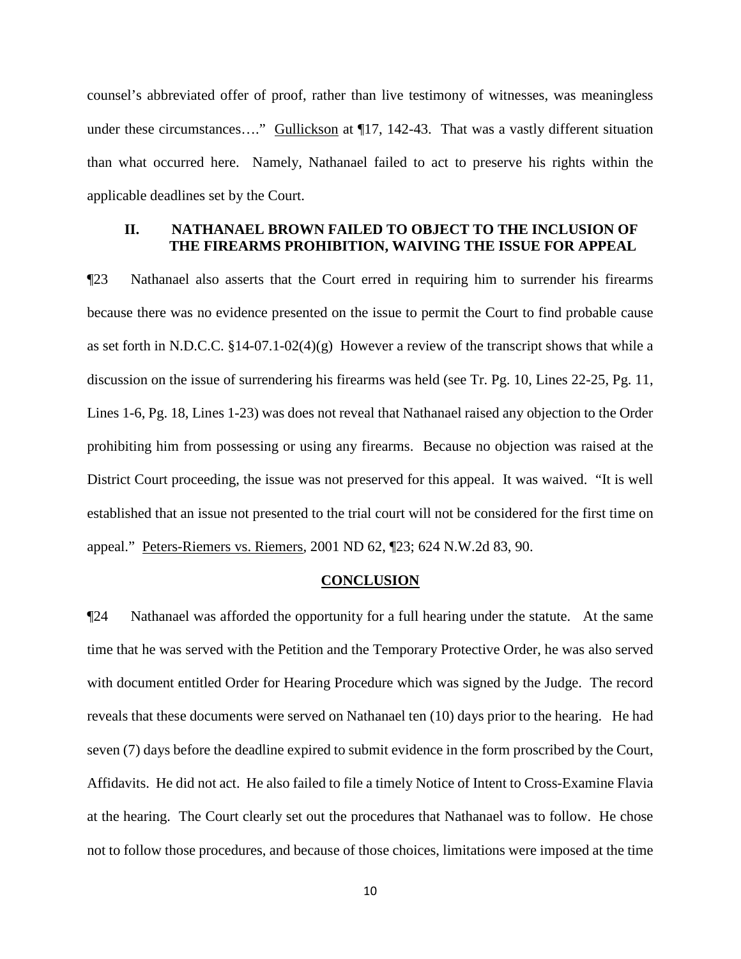counsel's abbreviated offer of proof, rather than live testimony of witnesses, was meaningless under these circumstances...." Gullickson at  $\P$ 17, 142-43. That was a vastly different situation than what occurred here. Namely, Nathanael failed to act to preserve his rights within the applicable deadlines set by the Court.

## **II. NATHANAEL BROWN FAILED TO OBJECT TO THE INCLUSION OF THE FIREARMS PROHIBITION, WAIVING THE ISSUE FOR APPEAL**

¶23 Nathanael also asserts that the Court erred in requiring him to surrender his firearms because there was no evidence presented on the issue to permit the Court to find probable cause as set forth in N.D.C.C.  $$14-07.1-02(4)(g)$  However a review of the transcript shows that while a discussion on the issue of surrendering his firearms was held (see Tr. Pg. 10, Lines 22-25, Pg. 11, Lines 1-6, Pg. 18, Lines 1-23) was does not reveal that Nathanael raised any objection to the Order prohibiting him from possessing or using any firearms. Because no objection was raised at the District Court proceeding, the issue was not preserved for this appeal. It was waived. "It is well established that an issue not presented to the trial court will not be considered for the first time on appeal." Peters-Riemers vs. Riemers, 2001 ND 62, ¶23; 624 N.W.2d 83, 90.

#### **CONCLUSION**

¶24 Nathanael was afforded the opportunity for a full hearing under the statute. At the same time that he was served with the Petition and the Temporary Protective Order, he was also served with document entitled Order for Hearing Procedure which was signed by the Judge. The record reveals that these documents were served on Nathanael ten (10) days prior to the hearing. He had seven (7) days before the deadline expired to submit evidence in the form proscribed by the Court, Affidavits. He did not act. He also failed to file a timely Notice of Intent to Cross-Examine Flavia at the hearing. The Court clearly set out the procedures that Nathanael was to follow. He chose not to follow those procedures, and because of those choices, limitations were imposed at the time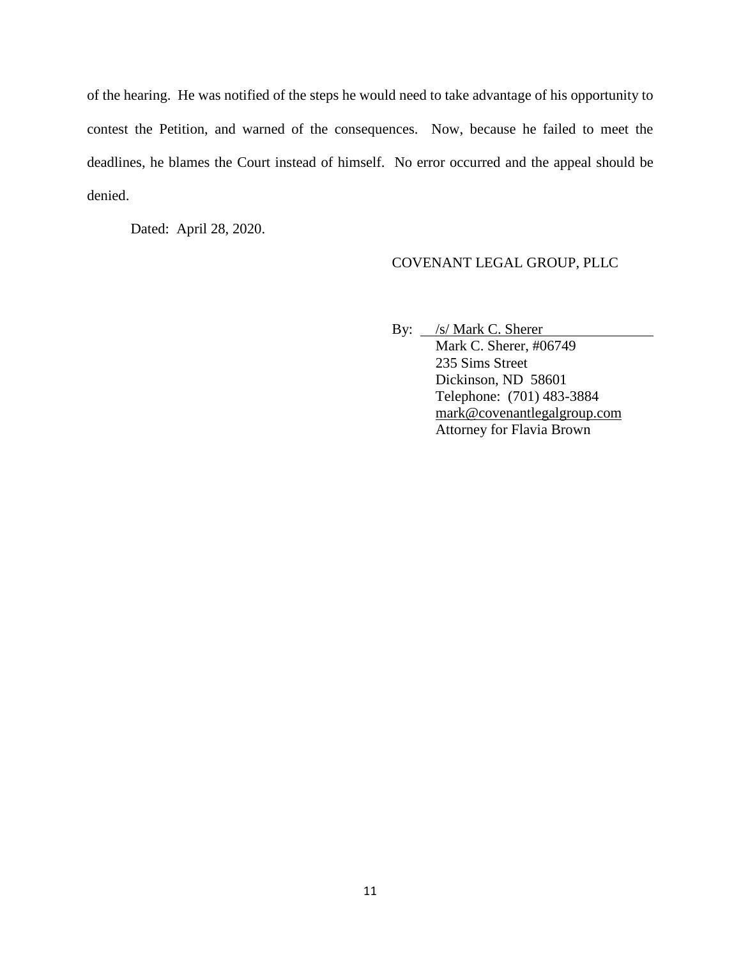of the hearing. He was notified of the steps he would need to take advantage of his opportunity to contest the Petition, and warned of the consequences. Now, because he failed to meet the deadlines, he blames the Court instead of himself. No error occurred and the appeal should be denied.

Dated: April 28, 2020.

## COVENANT LEGAL GROUP, PLLC

By: /s/ Mark C. Sherer

Mark C. Sherer, #06749 235 Sims Street Dickinson, ND 58601 Telephone: (701) 483-3884 [mark@covenantlegalgroup.com](mailto:mark@covenantlegalgroup.com) Attorney for Flavia Brown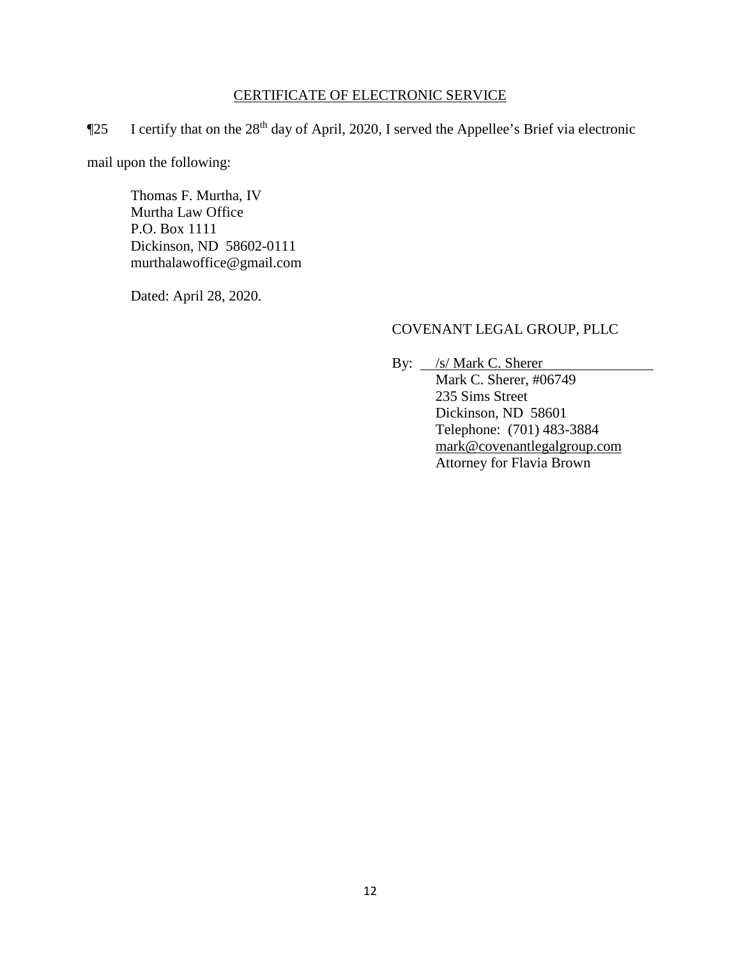## CERTIFICATE OF ELECTRONIC SERVICE

¶25 I certify that on the 28th day of April, 2020, I served the Appellee's Brief via electronic

mail upon the following:

Thomas F. Murtha, IV Murtha Law Office P.O. Box 1111 Dickinson, ND 58602-0111 murthalawoffice@gmail.com

Dated: April 28, 2020.

# COVENANT LEGAL GROUP, PLLC

By:  $\frac{\sqrt{s}}{\sqrt{5}}$  Mark C. Sherer

Mark C. Sherer, #06749 235 Sims Street Dickinson, ND 58601 Telephone: (701) 483-3884 [mark@covenantlegalgroup.com](mailto:mark@covenantlegalgroup.com) Attorney for Flavia Brown